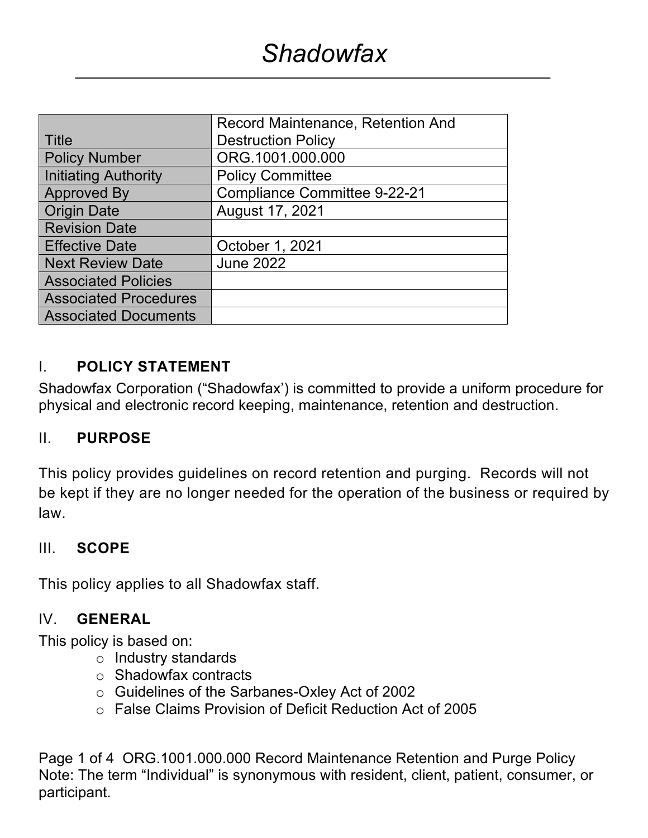|                              | <b>Record Maintenance, Retention And</b> |
|------------------------------|------------------------------------------|
| Title                        | <b>Destruction Policy</b>                |
| <b>Policy Number</b>         | ORG.1001.000.000                         |
| <b>Initiating Authority</b>  | <b>Policy Committee</b>                  |
| <b>Approved By</b>           | <b>Compliance Committee 9-22-21</b>      |
| <b>Origin Date</b>           | August 17, 2021                          |
| <b>Revision Date</b>         |                                          |
| <b>Effective Date</b>        | October 1, 2021                          |
| <b>Next Review Date</b>      | <b>June 2022</b>                         |
| <b>Associated Policies</b>   |                                          |
| <b>Associated Procedures</b> |                                          |
| <b>Associated Documents</b>  |                                          |

## I. **POLICY STATEMENT**

Shadowfax Corporation ("Shadowfax') is committed to provide a uniform procedure for physical and electronic record keeping, maintenance, retention and destruction.

### II. **PURPOSE**

This policy provides guidelines on record retention and purging. Records will not be kept if they are no longer needed for the operation of the business or required by law.

### III. **SCOPE**

This policy applies to all Shadowfax staff.

### IV. **GENERAL**

This policy is based on:

- o Industry standards
- o Shadowfax contracts
- o Guidelines of the Sarbanes-Oxley Act of 2002
- o False Claims Provision of Deficit Reduction Act of 2005

Page 1 of 4 ORG.1001.000.000 Record Maintenance Retention and Purge Policy Note: The term "Individual" is synonymous with resident, client, patient, consumer, or participant.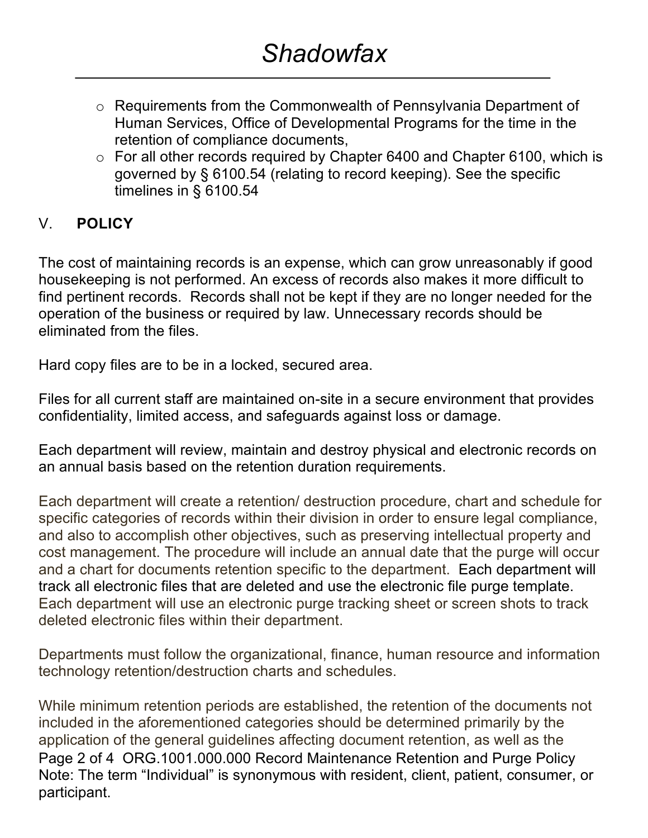- o Requirements from the Commonwealth of Pennsylvania Department of Human Services, Office of Developmental Programs for the time in the retention of compliance documents,
- o For all other records required by Chapter 6400 and Chapter 6100, which is governed by § 6100.54 (relating to record keeping). See the specific timelines in § 6100.54

# V. **POLICY**

The cost of maintaining records is an expense, which can grow unreasonably if good housekeeping is not performed. An excess of records also makes it more difficult to find pertinent records. Records shall not be kept if they are no longer needed for the operation of the business or required by law. Unnecessary records should be eliminated from the files.

Hard copy files are to be in a locked, secured area.

Files for all current staff are maintained on-site in a secure environment that provides confidentiality, limited access, and safeguards against loss or damage.

Each department will review, maintain and destroy physical and electronic records on an annual basis based on the retention duration requirements.

Each department will create a retention/ destruction procedure, chart and schedule for specific categories of records within their division in order to ensure legal compliance, and also to accomplish other objectives, such as preserving intellectual property and cost management. The procedure will include an annual date that the purge will occur and a chart for documents retention specific to the department. Each department will track all electronic files that are deleted and use the electronic file purge template. Each department will use an electronic purge tracking sheet or screen shots to track deleted electronic files within their department.

Departments must follow the organizational, finance, human resource and information technology retention/destruction charts and schedules.

Page 2 of 4 ORG.1001.000.000 Record Maintenance Retention and Purge Policy Note: The term "Individual" is synonymous with resident, client, patient, consumer, or participant. While minimum retention periods are established, the retention of the documents not included in the aforementioned categories should be determined primarily by the application of the general guidelines affecting document retention, as well as the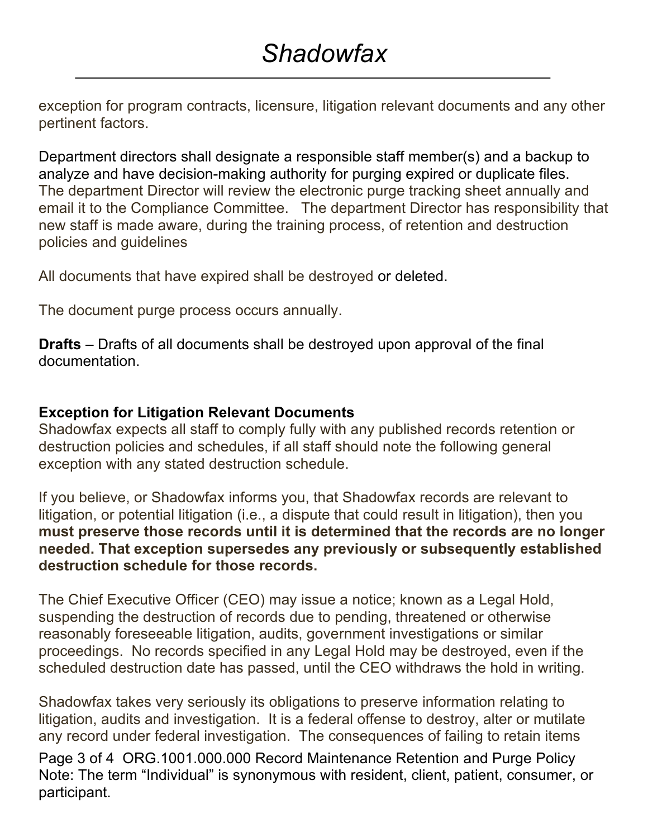exception for program contracts, licensure, litigation relevant documents and any other pertinent factors.

Department directors shall designate a responsible staff member(s) and a backup to analyze and have decision-making authority for purging expired or duplicate files. The department Director will review the electronic purge tracking sheet annually and email it to the Compliance Committee. The department Director has responsibility that new staff is made aware, during the training process, of retention and destruction policies and guidelines

All documents that have expired shall be destroyed or deleted.

The document purge process occurs annually.

**Drafts** – Drafts of all documents shall be destroyed upon approval of the final documentation.

# **Exception for Litigation Relevant Documents**

Shadowfax expects all staff to comply fully with any published records retention or destruction policies and schedules, if all staff should note the following general exception with any stated destruction schedule.

If you believe, or Shadowfax informs you, that Shadowfax records are relevant to litigation, or potential litigation (i.e., a dispute that could result in litigation), then you **must preserve those records until it is determined that the records are no longer needed. That exception supersedes any previously or subsequently established destruction schedule for those records.**

The Chief Executive Officer (CEO) may issue a notice; known as a Legal Hold, suspending the destruction of records due to pending, threatened or otherwise reasonably foreseeable litigation, audits, government investigations or similar proceedings. No records specified in any Legal Hold may be destroyed, even if the scheduled destruction date has passed, until the CEO withdraws the hold in writing.

Shadowfax takes very seriously its obligations to preserve information relating to litigation, audits and investigation. It is a federal offense to destroy, alter or mutilate any record under federal investigation. The consequences of failing to retain items

Page 3 of 4 ORG.1001.000.000 Record Maintenance Retention and Purge Policy Note: The term "Individual" is synonymous with resident, client, patient, consumer, or participant.